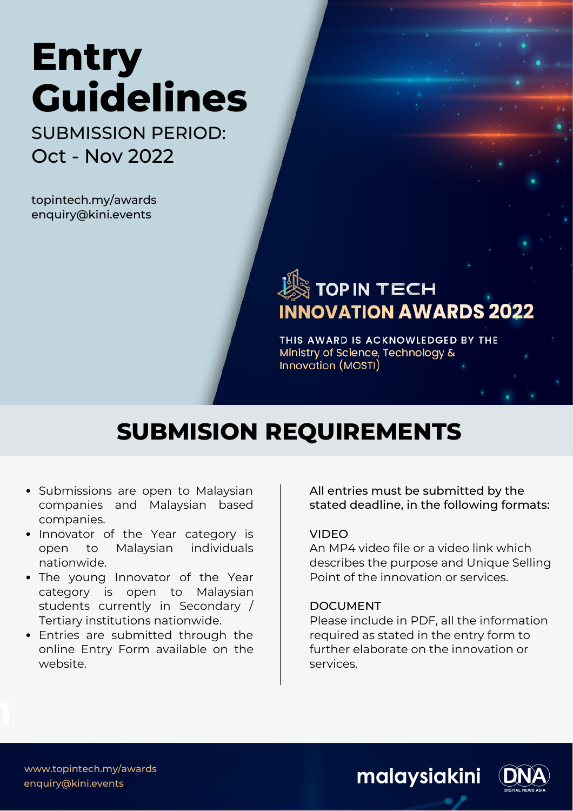# **Entry Guidelines** SUBMISSION PERIOD:

Oct - Nov 2022

topintech.my/awards enquiry@kini.events

# $\stackrel{\text{\tiny def}}{>}$  TOP IN TECH **INNOVATION AWARDS 2022**

THIS AWARD IS ACKNOWLEDGED BY THE Ministry of Science, Technology & Innovation (MOSTI)

# **SUBMISION REQUIREMENTS**

- Submissions are open to Malaysian companies and Malaysian based companies.
- Innovator of the Year category is open to Malaysian individuals nationwide.
- The young Innovator of the Year category is open to Malaysian students currently in Secondary / Tertiary institutions nationwide.
- Entries are submitted through the online Entry Form available on the website.

All entries must be submitted by the stated deadline, in the following formats:

#### VIDEO

An MP4 video file or a video link which describes the purpose and Unique Selling Point of the innovation or services.

#### DOCUMENT

Please include in PDF, all the information required as stated in the entry form to further elaborate on the innovation or services.



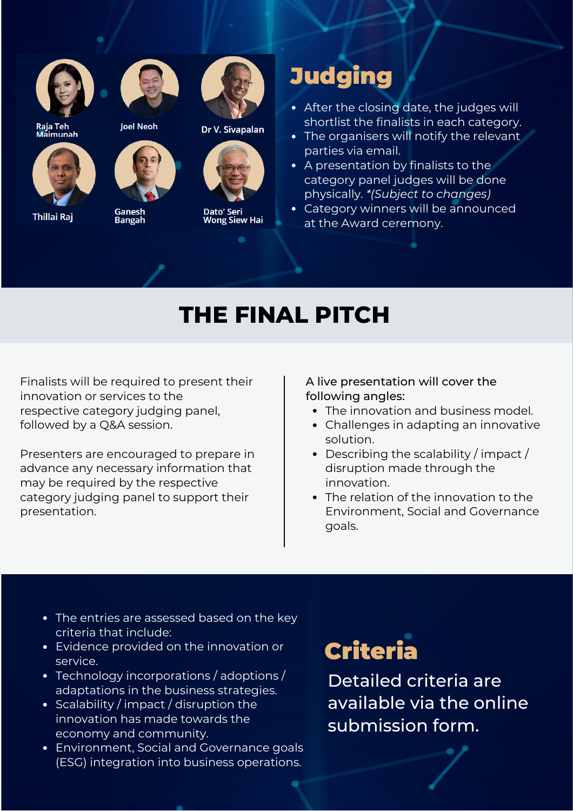



Raja Teh<br>Maimunah



**Thillai Raj** 





Ganesh<br>Bangah



Dr V. Sivapalan



Dato' Seri<br>Wong Siew Hai

# **Judging**

- After the closing date, the judges will shortlist the finalists in each category.
- The organisers will notify the relevant parties via email.
- A presentation by finalists to the category panel judges will be done physically. *\*(Subject to changes)*
- Category winners will be announced at the Award ceremony.

# **THE FINAL PITCH**

Finalists will be required to present their innovation or services to the respective category judging panel, followed by a Q&A session.

Presenters are encouraged to prepare in advance any necessary information that may be required by the respective category judging panel to support their presentation.

A live presentation will cover the following angles:

- The innovation and business model.
- Challenges in adapting an innovative solution.
- Describing the scalability / impact / disruption made through the innovation.
- The relation of the innovation to the Environment, Social and Governance goals.
- The entries are assessed based on the key criteria that include:
- Evidence provided on the innovation or service.
- Technology incorporations / adoptions / adaptations in the business strategies.
- Scalability / impact / disruption the innovation has made towards the economy and community.
- Environment, Social and Governance goals (ESG) integration into business operations.

# Criteria

Detailed criteria are available via the online submission form.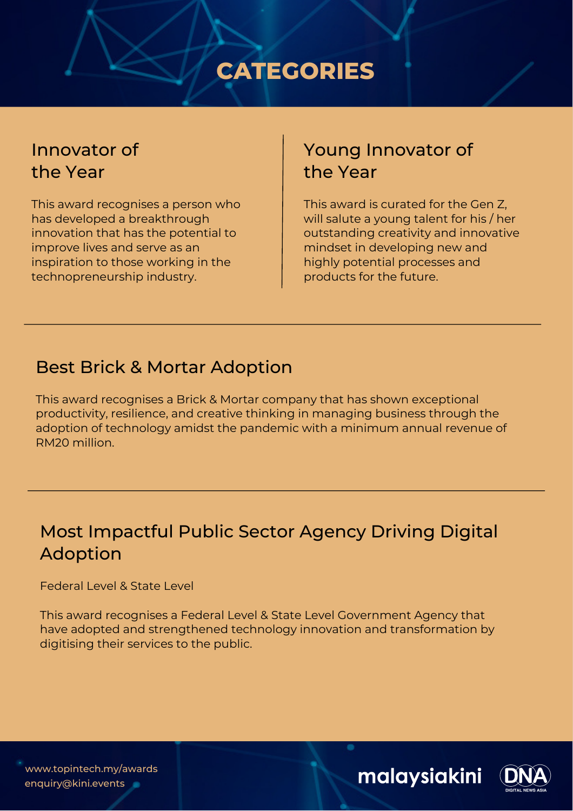# **CATEGORIES**

## Innovator of the Year

This award recognises a person who has developed a breakthrough innovation that has the potential to improve lives and serve as an inspiration to those working in the technopreneurship industry.

# Young Innovator of the Year

This award is curated for the Gen Z, will salute a young talent for his / her outstanding creativity and innovative mindset in developing new and highly potential processes and products for the future.

## Best Brick & Mortar Adoption

This award recognises a Brick & Mortar company that has shown exceptional productivity, resilience, and creative thinking in managing business through the adoption of technology amidst the pandemic with a minimum annual revenue of RM20 million.

# Most Impactful Public Sector Agency Driving Digital Adoption

Federal Level & State Level

This award recognises a Federal Level & State Level Government Agency that have adopted and strengthened technology innovation and transformation by digitising their services to the public.

www.topintech.my/awards enquiry@kini.events

malaysiakini

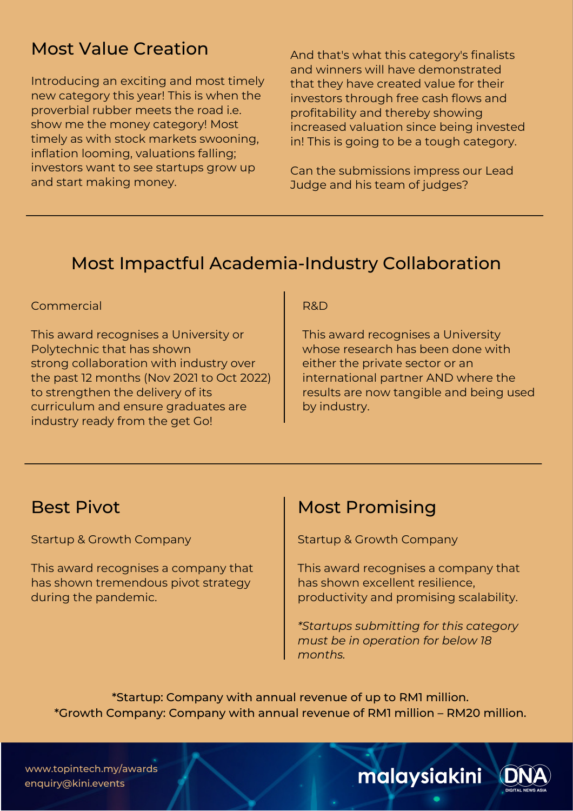## Most Value Creation

Introducing an exciting and most timely new category this year! This is when the proverbial rubber meets the road i.e. show me the money category! Most timely as with stock markets swooning, inflation looming, valuations falling; investors want to see startups grow up and start making money.

And that's what this category's finalists and winners will have demonstrated that they have created value for their investors through free cash flows and profitability and thereby showing increased valuation since being invested in! This is going to be a tough category.

Can the submissions impress our Lead Judge and his team of judges?

## Most Impactful Academia-Industry Collaboration

#### Commercial

This award recognises a University or Polytechnic that has shown strong collaboration with industry over the past 12 months (Nov 2021 to Oct 2022) to strengthen the delivery of its curriculum and ensure graduates are industry ready from the get Go!

#### R&D

This award recognises a University whose research has been done with either the private sector or an international partner AND where the results are now tangible and being used by industry.

### Best Pivot

Startup & Growth Company

This award recognises a company that has shown tremendous pivot strategy during the pandemic.

## Most Promising

Startup & Growth Company

This award recognises a company that has shown excellent resilience, productivity and promising scalability.

*\*Startups submitting for this category must be in operation for below 18 months.*

\*Startup: Company with annual revenue of up to RM1 million. \*Growth Company: Company with annual revenue of RM1 million – RM20 million.

www.topintech.my/awards enquiry@kini.events

malaysiakini